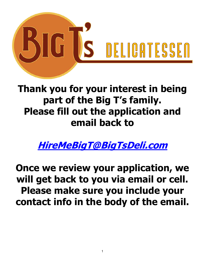

## **Thank you for your interest in being part of the Big T's family. Please fill out the application and email back to**

**[HireMeBigT@BigTsDeli.com](mailto:HireMeBigT@BigTsDeli.com)**

**Once we review your application, we will get back to you via email or cell. Please make sure you include your contact info in the body of the email.**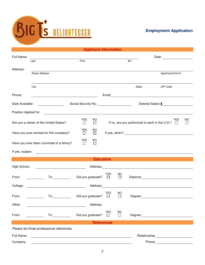

| <b>Applicant Information</b>                                                                                                                                                                                                         |                                                                                                                                                                                                                                      |                          |          |            |              |                                                                                                                                                                                                                                       |                  |  |  |  |
|--------------------------------------------------------------------------------------------------------------------------------------------------------------------------------------------------------------------------------------|--------------------------------------------------------------------------------------------------------------------------------------------------------------------------------------------------------------------------------------|--------------------------|----------|------------|--------------|---------------------------------------------------------------------------------------------------------------------------------------------------------------------------------------------------------------------------------------|------------------|--|--|--|
| Full Name:                                                                                                                                                                                                                           |                                                                                                                                                                                                                                      |                          |          |            |              |                                                                                                                                                                                                                                       |                  |  |  |  |
|                                                                                                                                                                                                                                      | Last                                                                                                                                                                                                                                 | First                    |          |            |              | M.I.                                                                                                                                                                                                                                  |                  |  |  |  |
| Address:                                                                                                                                                                                                                             |                                                                                                                                                                                                                                      |                          |          |            |              |                                                                                                                                                                                                                                       |                  |  |  |  |
|                                                                                                                                                                                                                                      | <b>Street Address</b>                                                                                                                                                                                                                |                          |          |            |              |                                                                                                                                                                                                                                       | Apartment/Unit # |  |  |  |
|                                                                                                                                                                                                                                      |                                                                                                                                                                                                                                      |                          |          |            |              |                                                                                                                                                                                                                                       |                  |  |  |  |
|                                                                                                                                                                                                                                      | City                                                                                                                                                                                                                                 |                          |          |            |              | State                                                                                                                                                                                                                                 | ZIP Code         |  |  |  |
| Phone:                                                                                                                                                                                                                               |                                                                                                                                                                                                                                      |                          |          |            |              |                                                                                                                                                                                                                                       |                  |  |  |  |
| Email <b>Exercise Contract Contract Contract Contract Contract Contract Contract Contract Contract Contract Contract Contract Contract Contract Contract Contract Contract Contract Contract Contract Contract Contract Contract</b> |                                                                                                                                                                                                                                      |                          |          |            |              |                                                                                                                                                                                                                                       |                  |  |  |  |
| Date Available:<br>Social Security No.: 1997<br>Desired Salary: \$                                                                                                                                                                   |                                                                                                                                                                                                                                      |                          |          |            |              |                                                                                                                                                                                                                                       |                  |  |  |  |
|                                                                                                                                                                                                                                      |                                                                                                                                                                                                                                      |                          |          |            |              |                                                                                                                                                                                                                                       |                  |  |  |  |
|                                                                                                                                                                                                                                      | <b>YES</b>                                                                                                                                                                                                                           | NO                       |          |            |              | <b>YES</b>                                                                                                                                                                                                                            | NO               |  |  |  |
| Are you a citizen of the United States?                                                                                                                                                                                              | $\Box$                                                                                                                                                                                                                               | □                        |          |            |              | If no, are you authorized to work in the U.S.? □                                                                                                                                                                                      | $\Box$           |  |  |  |
| Have you ever worked for this company?                                                                                                                                                                                               | <b>YES</b><br>$\Box$                                                                                                                                                                                                                 | NO.<br>$\Box$            |          |            |              | If yes, when?<br><u>Letting</u> the state of the state of the state of the state of the state of the state of the state of the state of the state of the state of the state of the state of the state of the state of the state of th |                  |  |  |  |
|                                                                                                                                                                                                                                      | <b>YES</b>                                                                                                                                                                                                                           | NO                       |          |            |              |                                                                                                                                                                                                                                       |                  |  |  |  |
| Have you ever been convicted of a felony?                                                                                                                                                                                            | П                                                                                                                                                                                                                                    | □                        |          |            |              |                                                                                                                                                                                                                                       |                  |  |  |  |
|                                                                                                                                                                                                                                      | If yes, explain: <u>example and the set of the set of the set of the set of the set of the set of the set of the set of the set of the set of the set of the set of the set of the set of the set of the set of the set of the s</u> |                          |          |            |              |                                                                                                                                                                                                                                       |                  |  |  |  |
| <b>Education</b>                                                                                                                                                                                                                     |                                                                                                                                                                                                                                      |                          |          |            |              |                                                                                                                                                                                                                                       |                  |  |  |  |
| High School:                                                                                                                                                                                                                         |                                                                                                                                                                                                                                      |                          |          |            |              |                                                                                                                                                                                                                                       |                  |  |  |  |
|                                                                                                                                                                                                                                      |                                                                                                                                                                                                                                      |                          |          |            |              |                                                                                                                                                                                                                                       |                  |  |  |  |
| From:                                                                                                                                                                                                                                |                                                                                                                                                                                                                                      | Did you graduate? $\Box$ |          | <b>YES</b> | NO<br>$\Box$ |                                                                                                                                                                                                                                       |                  |  |  |  |
|                                                                                                                                                                                                                                      |                                                                                                                                                                                                                                      |                          |          |            |              |                                                                                                                                                                                                                                       |                  |  |  |  |
|                                                                                                                                                                                                                                      |                                                                                                                                                                                                                                      |                          |          | YES        | NO.          |                                                                                                                                                                                                                                       |                  |  |  |  |
| From:                                                                                                                                                                                                                                | To: Did you graduate? □                                                                                                                                                                                                              |                          |          |            | $\Box$       |                                                                                                                                                                                                                                       |                  |  |  |  |
| Other:                                                                                                                                                                                                                               |                                                                                                                                                                                                                                      |                          | Address: |            |              |                                                                                                                                                                                                                                       |                  |  |  |  |
|                                                                                                                                                                                                                                      |                                                                                                                                                                                                                                      |                          |          | <b>YES</b> | <b>NO</b>    |                                                                                                                                                                                                                                       |                  |  |  |  |
| From:                                                                                                                                                                                                                                | $\mathsf{To:}\qquad \qquad \qquad$                                                                                                                                                                                                   | Did you graduate?        |          | $\Box$     | П            |                                                                                                                                                                                                                                       |                  |  |  |  |
| <b>References</b>                                                                                                                                                                                                                    |                                                                                                                                                                                                                                      |                          |          |            |              |                                                                                                                                                                                                                                       |                  |  |  |  |
| Please list three professional references.                                                                                                                                                                                           |                                                                                                                                                                                                                                      |                          |          |            |              |                                                                                                                                                                                                                                       |                  |  |  |  |
| Full Name:<br><u> 1980 - Johann Barn, fransk politik (f. 1980)</u>                                                                                                                                                                   |                                                                                                                                                                                                                                      |                          |          |            |              |                                                                                                                                                                                                                                       |                  |  |  |  |
| Company:                                                                                                                                                                                                                             |                                                                                                                                                                                                                                      |                          |          |            |              |                                                                                                                                                                                                                                       |                  |  |  |  |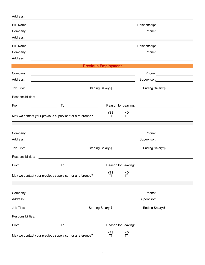|                                                          | Supervisor: Supervisor:                                                                                                                                                                                                                                          |                          |                                                                                                                                                                                                                                                                                                                                                                                                                                                                                                                                       |  |
|----------------------------------------------------------|------------------------------------------------------------------------------------------------------------------------------------------------------------------------------------------------------------------------------------------------------------------|--------------------------|---------------------------------------------------------------------------------------------------------------------------------------------------------------------------------------------------------------------------------------------------------------------------------------------------------------------------------------------------------------------------------------------------------------------------------------------------------------------------------------------------------------------------------------|--|
|                                                          | <b>Starting Salary:\$</b>                                                                                                                                                                                                                                        |                          |                                                                                                                                                                                                                                                                                                                                                                                                                                                                                                                                       |  |
| Responsibilities:                                        |                                                                                                                                                                                                                                                                  |                          |                                                                                                                                                                                                                                                                                                                                                                                                                                                                                                                                       |  |
|                                                          |                                                                                                                                                                                                                                                                  |                          | Reason for Leaving:<br><u> Reason</u> for Leaving:                                                                                                                                                                                                                                                                                                                                                                                                                                                                                    |  |
|                                                          |                                                                                                                                                                                                                                                                  |                          |                                                                                                                                                                                                                                                                                                                                                                                                                                                                                                                                       |  |
| May we contact your previous supervisor for a reference? | $\Box$                                                                                                                                                                                                                                                           | $\Box$                   |                                                                                                                                                                                                                                                                                                                                                                                                                                                                                                                                       |  |
|                                                          |                                                                                                                                                                                                                                                                  |                          |                                                                                                                                                                                                                                                                                                                                                                                                                                                                                                                                       |  |
|                                                          |                                                                                                                                                                                                                                                                  |                          |                                                                                                                                                                                                                                                                                                                                                                                                                                                                                                                                       |  |
|                                                          |                                                                                                                                                                                                                                                                  |                          | Supervisor: 2000                                                                                                                                                                                                                                                                                                                                                                                                                                                                                                                      |  |
|                                                          |                                                                                                                                                                                                                                                                  |                          |                                                                                                                                                                                                                                                                                                                                                                                                                                                                                                                                       |  |
|                                                          |                                                                                                                                                                                                                                                                  |                          | Ending Salary: \$                                                                                                                                                                                                                                                                                                                                                                                                                                                                                                                     |  |
|                                                          |                                                                                                                                                                                                                                                                  |                          |                                                                                                                                                                                                                                                                                                                                                                                                                                                                                                                                       |  |
|                                                          |                                                                                                                                                                                                                                                                  |                          |                                                                                                                                                                                                                                                                                                                                                                                                                                                                                                                                       |  |
| May we contact your previous supervisor for a reference? | $\Box$                                                                                                                                                                                                                                                           | $\Box$                   |                                                                                                                                                                                                                                                                                                                                                                                                                                                                                                                                       |  |
|                                                          |                                                                                                                                                                                                                                                                  |                          |                                                                                                                                                                                                                                                                                                                                                                                                                                                                                                                                       |  |
|                                                          |                                                                                                                                                                                                                                                                  |                          | Phone: 2008                                                                                                                                                                                                                                                                                                                                                                                                                                                                                                                           |  |
|                                                          |                                                                                                                                                                                                                                                                  |                          |                                                                                                                                                                                                                                                                                                                                                                                                                                                                                                                                       |  |
|                                                          | Ending Salary:\$                                                                                                                                                                                                                                                 |                          |                                                                                                                                                                                                                                                                                                                                                                                                                                                                                                                                       |  |
|                                                          |                                                                                                                                                                                                                                                                  |                          |                                                                                                                                                                                                                                                                                                                                                                                                                                                                                                                                       |  |
| Responsibilities:                                        |                                                                                                                                                                                                                                                                  |                          |                                                                                                                                                                                                                                                                                                                                                                                                                                                                                                                                       |  |
| $\overline{a}$ To:                                       |                                                                                                                                                                                                                                                                  |                          | Reason for Leaving: 1997                                                                                                                                                                                                                                                                                                                                                                                                                                                                                                              |  |
| May we contact your previous supervisor for a reference? | <b>YES</b><br>$\Box$                                                                                                                                                                                                                                             | <b>NO</b><br>П           |                                                                                                                                                                                                                                                                                                                                                                                                                                                                                                                                       |  |
|                                                          | <u>and the community of the community of the community of the community of the community of the community of the community of the community of the community of the community of the community of the community of the community</u><br>Responsibilities:<br>To: | <b>YES</b><br><b>YES</b> | <b>Previous Employment</b><br><u> 1989 - Johann Stoff, deutscher Stoffen und der Stoffen und der Stoffen und der Stoffen und der Stoffen und der</u><br>NO.<br>Starting Salary:\$<br><u> 1989 - Johann Stoff, amerikansk politiker (d. 1989)</u><br><b>NO</b><br><u> 1980 - Johann Stoff, deutscher Stoffen und der Stoffen und der Stoffen und der Stoffen und der Stoffen und d</u><br>Starting Salary:\$<br><u> 1989 - Johann Stoff, deutscher Stoffen und der Stoffen und der Stoffen und der Stoffen und der Stoffen und der</u> |  |